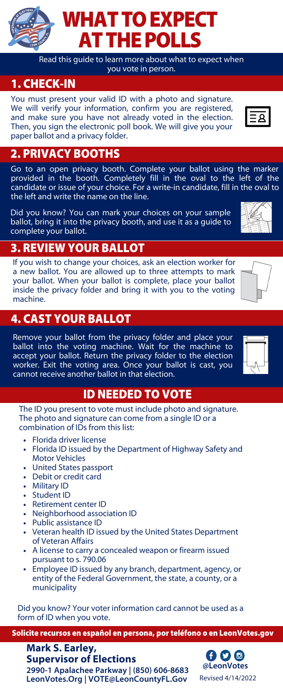Read this guide to learn more about what to expect when you vote in person.

#### 1. CHECK-IN

You must present your valid ID with a photo and signature. We will verify your information, confirm you are registered, and make sure you have not already voted in the election. Then, you sign the electronic poll book. We will give you your paper ballot and a privacy folder.

#### 2. PRIVACY BOOTHS

Go to an open privacy booth. Complete your ballot using the marker provided in the booth. Completely fill in the oval to the left of the candidate or issue of your choice. For a write-in candidate, fill in the oval to the left and write the name on the line.

Did you know? You can mark your choices on your sample ballot, bring it into the privacy booth, and use it as a guide to complete your ballot.

### 3. REVIEW YOUR BALLOT

If you wish to change your choices, ask an election worker for a new ballot. You are allowed up to three attempts to mark your ballot. When your ballot is complete, place your ballot inside the privacy folder and bring it with you to the voting machine.

#### 4. CAST YOUR BALLOT

Remove your ballot from the privacy folder and place your ballot into the voting machine. Wait for the machine to accept your ballot. Return the privacy folder to the election worker. Exit the voting area. Once your ballot is cast, you cannot receive another ballot in that election.

#### ID NEEDED TO VOTE

The ID you present to vote must include photo and signature. The photo and signature can come from a single ID or a combination of IDs from this list:

- Florida driver license
- Florida ID issued by the Department of Highway Safety and Motor Vehicles
- United States passport
- Debit or credit card
- Military ID
- Student ID
- Retirement center ID
- Neighborhood association ID
- Public assistance ID
- Veteran health ID issued by the United States Department of Veteran Affairs
- A license to carry a concealed weapon or firearm issued pursuant to s. 790.06
- Employee ID issued by any branch, department, agency, or entity of the Federal Government, the state, a county, or a municipality

Did you know? Your voter information card cannot be used as a form of ID when you vote.

Solicite recursos en español en persona, por teléfono o en LeonVotes.gov

**2990-1 Apalachee Parkway | (850) 606-8683 LeonVotes.Org | VOTE@LeonCountyFL.Gov Mark S. Earley, Supervisor of Elections**

6 9 ® **@LeonVotes** Revised 4/14/2022